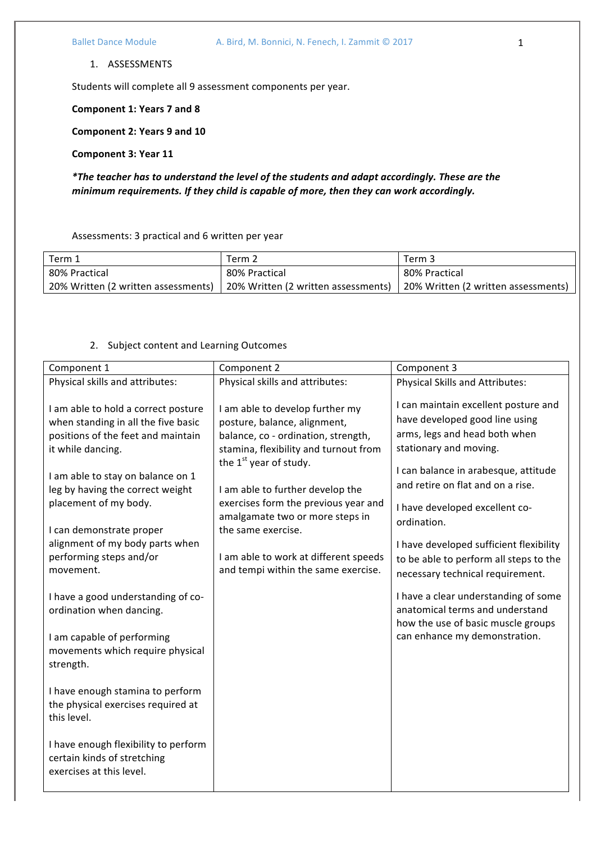Students will complete all 9 assessment components per year.

**Component 1: Years 7 and 8**

**Component 2: Years 9 and 10**

**Component 3: Year 11**

*\*The teacher has to understand the level of the students and adapt accordingly. These are the*  minimum requirements. If they child is capable of more, then they can work accordingly.

Assessments: 3 practical and 6 written per year

| Term 1                              | Term 2                              | Term 3                              |
|-------------------------------------|-------------------------------------|-------------------------------------|
| 80% Practical                       | 80% Practical                       | 80% Practical                       |
| 20% Written (2 written assessments) | 20% Written (2 written assessments) | 20% Written (2 written assessments) |

## 2. Subject content and Learning Outcomes

| Component 1                                                                                                                                                                                                                                                                                                                                    | Component 2                                                                                                                                                                                                                                                                                                                                                                                      | Component 3                                                                                                                                                                                                                                                                                                                                                                              |
|------------------------------------------------------------------------------------------------------------------------------------------------------------------------------------------------------------------------------------------------------------------------------------------------------------------------------------------------|--------------------------------------------------------------------------------------------------------------------------------------------------------------------------------------------------------------------------------------------------------------------------------------------------------------------------------------------------------------------------------------------------|------------------------------------------------------------------------------------------------------------------------------------------------------------------------------------------------------------------------------------------------------------------------------------------------------------------------------------------------------------------------------------------|
| Physical skills and attributes:                                                                                                                                                                                                                                                                                                                | Physical skills and attributes:                                                                                                                                                                                                                                                                                                                                                                  | <b>Physical Skills and Attributes:</b>                                                                                                                                                                                                                                                                                                                                                   |
| I am able to hold a correct posture<br>when standing in all the five basic<br>positions of the feet and maintain<br>it while dancing.<br>I am able to stay on balance on 1<br>leg by having the correct weight<br>placement of my body.<br>I can demonstrate proper<br>alignment of my body parts when<br>performing steps and/or<br>movement. | I am able to develop further my<br>posture, balance, alignment,<br>balance, co - ordination, strength,<br>stamina, flexibility and turnout from<br>the $1st$ year of study.<br>I am able to further develop the<br>exercises form the previous year and<br>amalgamate two or more steps in<br>the same exercise.<br>I am able to work at different speeds<br>and tempi within the same exercise. | I can maintain excellent posture and<br>have developed good line using<br>arms, legs and head both when<br>stationary and moving.<br>I can balance in arabesque, attitude<br>and retire on flat and on a rise.<br>I have developed excellent co-<br>ordination.<br>I have developed sufficient flexibility<br>to be able to perform all steps to the<br>necessary technical requirement. |
| I have a good understanding of co-<br>ordination when dancing.                                                                                                                                                                                                                                                                                 |                                                                                                                                                                                                                                                                                                                                                                                                  | I have a clear understanding of some<br>anatomical terms and understand<br>how the use of basic muscle groups<br>can enhance my demonstration.                                                                                                                                                                                                                                           |
| I am capable of performing<br>movements which require physical<br>strength.                                                                                                                                                                                                                                                                    |                                                                                                                                                                                                                                                                                                                                                                                                  |                                                                                                                                                                                                                                                                                                                                                                                          |
| I have enough stamina to perform<br>the physical exercises required at<br>this level.                                                                                                                                                                                                                                                          |                                                                                                                                                                                                                                                                                                                                                                                                  |                                                                                                                                                                                                                                                                                                                                                                                          |
| I have enough flexibility to perform<br>certain kinds of stretching<br>exercises at this level.                                                                                                                                                                                                                                                |                                                                                                                                                                                                                                                                                                                                                                                                  |                                                                                                                                                                                                                                                                                                                                                                                          |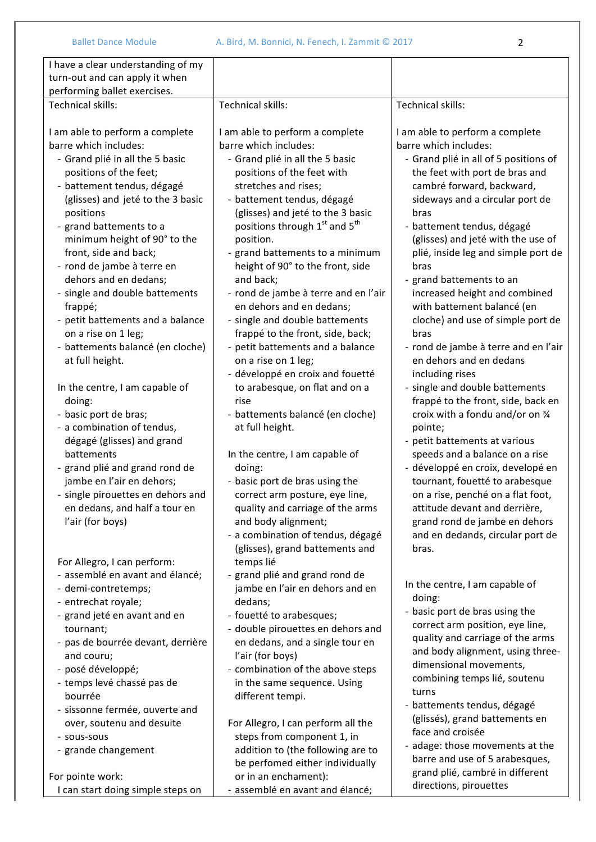| I have a clear understanding of my<br>turn-out and can apply it when<br>performing ballet exercises.                                                                                                                                                                                                                                                                                                                                                                                                                                                                                                                                                                                                                                                               |                                                                                                                                                                                                                                                                                                                                                                                                                                                                                                                                                                                                                                                                                                                                                                                                                                          |                                                                                                                                                                                                                                                                                                                                                                                                                                                                                                                                                                                                                                                                                                                                                                                                                                                                   |
|--------------------------------------------------------------------------------------------------------------------------------------------------------------------------------------------------------------------------------------------------------------------------------------------------------------------------------------------------------------------------------------------------------------------------------------------------------------------------------------------------------------------------------------------------------------------------------------------------------------------------------------------------------------------------------------------------------------------------------------------------------------------|------------------------------------------------------------------------------------------------------------------------------------------------------------------------------------------------------------------------------------------------------------------------------------------------------------------------------------------------------------------------------------------------------------------------------------------------------------------------------------------------------------------------------------------------------------------------------------------------------------------------------------------------------------------------------------------------------------------------------------------------------------------------------------------------------------------------------------------|-------------------------------------------------------------------------------------------------------------------------------------------------------------------------------------------------------------------------------------------------------------------------------------------------------------------------------------------------------------------------------------------------------------------------------------------------------------------------------------------------------------------------------------------------------------------------------------------------------------------------------------------------------------------------------------------------------------------------------------------------------------------------------------------------------------------------------------------------------------------|
| Technical skills:                                                                                                                                                                                                                                                                                                                                                                                                                                                                                                                                                                                                                                                                                                                                                  | <b>Technical skills:</b>                                                                                                                                                                                                                                                                                                                                                                                                                                                                                                                                                                                                                                                                                                                                                                                                                 | Technical skills:                                                                                                                                                                                                                                                                                                                                                                                                                                                                                                                                                                                                                                                                                                                                                                                                                                                 |
| I am able to perform a complete<br>barre which includes:<br>- Grand plié in all the 5 basic<br>positions of the feet;<br>- battement tendus, dégagé<br>(glisses) and jeté to the 3 basic<br>positions<br>- grand battements to a<br>minimum height of 90° to the<br>front, side and back;<br>- rond de jambe à terre en<br>dehors and en dedans;<br>- single and double battements<br>frappé;<br>- petit battements and a balance<br>on a rise on 1 leg;<br>- battements balancé (en cloche)<br>at full height.<br>In the centre, I am capable of<br>doing:<br>- basic port de bras;<br>- a combination of tendus,<br>dégagé (glisses) and grand<br>battements<br>- grand plié and grand rond de<br>jambe en l'air en dehors;<br>- single pirouettes en dehors and | I am able to perform a complete<br>barre which includes:<br>- Grand plié in all the 5 basic<br>positions of the feet with<br>stretches and rises;<br>- battement tendus, dégagé<br>(glisses) and jeté to the 3 basic<br>positions through 1 <sup>st</sup> and 5 <sup>th</sup><br>position.<br>- grand battements to a minimum<br>height of 90° to the front, side<br>and back;<br>- rond de jambe à terre and en l'air<br>en dehors and en dedans;<br>- single and double battements<br>frappé to the front, side, back;<br>- petit battements and a balance<br>on a rise on 1 leg;<br>- développé en croix and fouetté<br>to arabesque, on flat and on a<br>rise<br>- battements balancé (en cloche)<br>at full height.<br>In the centre, I am capable of<br>doing:<br>- basic port de bras using the<br>correct arm posture, eye line, | I am able to perform a complete<br>barre which includes:<br>- Grand plié in all of 5 positions of<br>the feet with port de bras and<br>cambré forward, backward,<br>sideways and a circular port de<br>bras<br>- battement tendus, dégagé<br>(glisses) and jeté with the use of<br>plié, inside leg and simple port de<br>bras<br>- grand battements to an<br>increased height and combined<br>with battement balancé (en<br>cloche) and use of simple port de<br>bras<br>- rond de jambe à terre and en l'air<br>en dehors and en dedans<br>including rises<br>- single and double battements<br>frappé to the front, side, back en<br>croix with a fondu and/or on 34<br>pointe;<br>- petit battements at various<br>speeds and a balance on a rise<br>- développé en croix, developé en<br>tournant, fouetté to arabesque<br>on a rise, penché on a flat foot, |
| en dedans, and half a tour en<br>l'air (for boys)<br>For Allegro, I can perform:<br>- assemblé en avant and élancé;<br>- demi-contretemps;<br>- entrechat royale;<br>- grand jeté en avant and en<br>tournant;<br>- pas de bourrée devant, derrière<br>and couru;<br>- posé développé;<br>- temps levé chassé pas de<br>bourrée<br>- sissonne fermée, ouverte and<br>over, soutenu and desuite<br>- sous-sous<br>- grande changement                                                                                                                                                                                                                                                                                                                               | quality and carriage of the arms<br>and body alignment;<br>- a combination of tendus, dégagé<br>(glisses), grand battements and<br>temps lié<br>- grand plié and grand rond de<br>jambe en l'air en dehors and en<br>dedans;<br>- fouetté to arabesques;<br>- double pirouettes en dehors and<br>en dedans, and a single tour en<br>l'air (for boys)<br>- combination of the above steps<br>in the same sequence. Using<br>different tempi.<br>For Allegro, I can perform all the<br>steps from component 1, in<br>addition to (the following are to<br>be perfomed either individually                                                                                                                                                                                                                                                  | attitude devant and derrière,<br>grand rond de jambe en dehors<br>and en dedands, circular port de<br>bras.<br>In the centre, I am capable of<br>doing:<br>- basic port de bras using the<br>correct arm position, eye line,<br>quality and carriage of the arms<br>and body alignment, using three-<br>dimensional movements,<br>combining temps lié, soutenu<br>turns<br>- battements tendus, dégagé<br>(glissés), grand battements en<br>face and croisée<br>- adage: those movements at the<br>barre and use of 5 arabesques,                                                                                                                                                                                                                                                                                                                                 |
| For pointe work:<br>I can start doing simple steps on                                                                                                                                                                                                                                                                                                                                                                                                                                                                                                                                                                                                                                                                                                              | or in an enchament):<br>- assemblé en avant and élancé;                                                                                                                                                                                                                                                                                                                                                                                                                                                                                                                                                                                                                                                                                                                                                                                  | grand plié, cambré in different<br>directions, pirouettes                                                                                                                                                                                                                                                                                                                                                                                                                                                                                                                                                                                                                                                                                                                                                                                                         |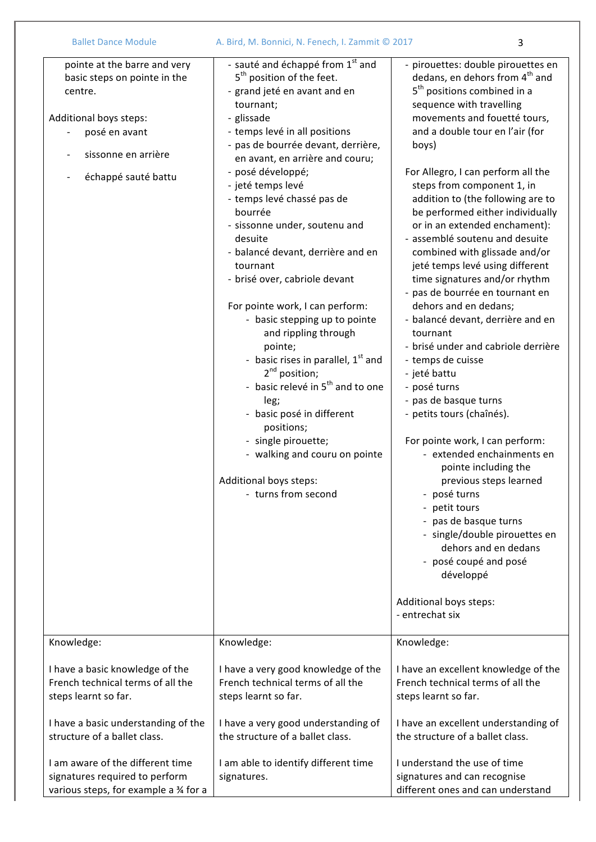| <b>Ballet Dance Module</b>                                                                                                                                       | A. Bird, M. Bonnici, N. Fenech, I. Zammit © 2017                                                                                                                                                                                                                                                                                                                                                                                                                                                                                                                                                                                                                                                                                                                                                                                                             | 3                                                                                                                                                                                                                                                                                                                                                                                                                                                                                                                                                                                                                                                                                                                                                                                                                                                                                                                                                                                                                                                                                                                                                                                                                           |  |
|------------------------------------------------------------------------------------------------------------------------------------------------------------------|--------------------------------------------------------------------------------------------------------------------------------------------------------------------------------------------------------------------------------------------------------------------------------------------------------------------------------------------------------------------------------------------------------------------------------------------------------------------------------------------------------------------------------------------------------------------------------------------------------------------------------------------------------------------------------------------------------------------------------------------------------------------------------------------------------------------------------------------------------------|-----------------------------------------------------------------------------------------------------------------------------------------------------------------------------------------------------------------------------------------------------------------------------------------------------------------------------------------------------------------------------------------------------------------------------------------------------------------------------------------------------------------------------------------------------------------------------------------------------------------------------------------------------------------------------------------------------------------------------------------------------------------------------------------------------------------------------------------------------------------------------------------------------------------------------------------------------------------------------------------------------------------------------------------------------------------------------------------------------------------------------------------------------------------------------------------------------------------------------|--|
| pointe at the barre and very<br>basic steps on pointe in the<br>centre.<br>Additional boys steps:<br>posé en avant<br>sissonne en arrière<br>échappé sauté battu | - sauté and échappé from 1 <sup>st</sup> and<br>5 <sup>th</sup> position of the feet.<br>- grand jeté en avant and en<br>tournant;<br>- glissade<br>- temps levé in all positions<br>- pas de bourrée devant, derrière,<br>en avant, en arrière and couru;<br>- posé développé;<br>- jeté temps levé<br>- temps levé chassé pas de<br>bourrée<br>- sissonne under, soutenu and<br>desuite<br>- balancé devant, derrière and en<br>tournant<br>- brisé over, cabriole devant<br>For pointe work, I can perform:<br>- basic stepping up to pointe<br>and rippling through<br>pointe;<br>- basic rises in parallel, $1st$ and<br>$2^{nd}$ position;<br>- basic relevé in 5 <sup>th</sup> and to one<br>leg;<br>- basic posé in different<br>positions;<br>- single pirouette;<br>- walking and couru on pointe<br>Additional boys steps:<br>- turns from second | - pirouettes: double pirouettes en<br>dedans, en dehors from 4 <sup>th</sup> and<br>5 <sup>th</sup> positions combined in a<br>sequence with travelling<br>movements and fouetté tours,<br>and a double tour en l'air (for<br>boys)<br>For Allegro, I can perform all the<br>steps from component 1, in<br>addition to (the following are to<br>be performed either individually<br>or in an extended enchament):<br>- assemblé soutenu and desuite<br>combined with glissade and/or<br>jeté temps levé using different<br>time signatures and/or rhythm<br>- pas de bourrée en tournant en<br>dehors and en dedans;<br>- balancé devant, derrière and en<br>tournant<br>- brisé under and cabriole derrière<br>- temps de cuisse<br>- jeté battu<br>- posé turns<br>- pas de basque turns<br>- petits tours (chaînés).<br>For pointe work, I can perform:<br>- extended enchainments en<br>pointe including the<br>previous steps learned<br>- posé turns<br>- petit tours<br>- pas de basque turns<br>- single/double pirouettes en<br>dehors and en dedans<br>- posé coupé and posé<br>développé<br>Additional boys steps:<br>- entrechat six<br>Knowledge:<br>French technical terms of all the<br>steps learnt so far. |  |
| Knowledge:                                                                                                                                                       | Knowledge:                                                                                                                                                                                                                                                                                                                                                                                                                                                                                                                                                                                                                                                                                                                                                                                                                                                   |                                                                                                                                                                                                                                                                                                                                                                                                                                                                                                                                                                                                                                                                                                                                                                                                                                                                                                                                                                                                                                                                                                                                                                                                                             |  |
| I have a basic knowledge of the<br>French technical terms of all the<br>steps learnt so far.                                                                     | I have a very good knowledge of the<br>French technical terms of all the<br>steps learnt so far.                                                                                                                                                                                                                                                                                                                                                                                                                                                                                                                                                                                                                                                                                                                                                             | I have an excellent knowledge of the                                                                                                                                                                                                                                                                                                                                                                                                                                                                                                                                                                                                                                                                                                                                                                                                                                                                                                                                                                                                                                                                                                                                                                                        |  |
| I have a basic understanding of the<br>structure of a ballet class.                                                                                              | I have a very good understanding of<br>the structure of a ballet class.                                                                                                                                                                                                                                                                                                                                                                                                                                                                                                                                                                                                                                                                                                                                                                                      | I have an excellent understanding of<br>the structure of a ballet class.                                                                                                                                                                                                                                                                                                                                                                                                                                                                                                                                                                                                                                                                                                                                                                                                                                                                                                                                                                                                                                                                                                                                                    |  |
| I am aware of the different time<br>signatures required to perform<br>various steps, for example a 3⁄4 for a                                                     | I am able to identify different time<br>signatures.                                                                                                                                                                                                                                                                                                                                                                                                                                                                                                                                                                                                                                                                                                                                                                                                          | I understand the use of time<br>signatures and can recognise<br>different ones and can understand                                                                                                                                                                                                                                                                                                                                                                                                                                                                                                                                                                                                                                                                                                                                                                                                                                                                                                                                                                                                                                                                                                                           |  |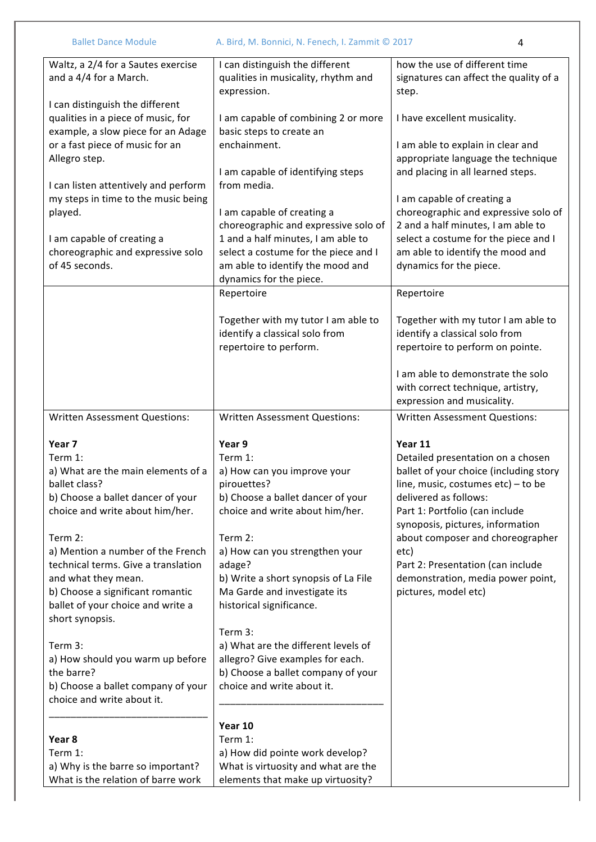| <b>Ballet Dance Module</b>                                                                                                                                                          | A. Bird, M. Bonnici, N. Fenech, I. Zammit © 2017                                                                                                                                  | 4                                                                                                                                                                                          |
|-------------------------------------------------------------------------------------------------------------------------------------------------------------------------------------|-----------------------------------------------------------------------------------------------------------------------------------------------------------------------------------|--------------------------------------------------------------------------------------------------------------------------------------------------------------------------------------------|
| Waltz, a 2/4 for a Sautes exercise<br>and a 4/4 for a March.                                                                                                                        | I can distinguish the different<br>qualities in musicality, rhythm and<br>expression.                                                                                             | how the use of different time<br>signatures can affect the quality of a<br>step.                                                                                                           |
| I can distinguish the different<br>qualities in a piece of music, for<br>example, a slow piece for an Adage                                                                         | I am capable of combining 2 or more<br>basic steps to create an                                                                                                                   | I have excellent musicality.                                                                                                                                                               |
| or a fast piece of music for an<br>Allegro step.                                                                                                                                    | enchainment.<br>I am capable of identifying steps                                                                                                                                 | I am able to explain in clear and<br>appropriate language the technique<br>and placing in all learned steps.                                                                               |
| I can listen attentively and perform<br>my steps in time to the music being<br>played.                                                                                              | from media.<br>I am capable of creating a                                                                                                                                         | I am capable of creating a<br>choreographic and expressive solo of                                                                                                                         |
| I am capable of creating a<br>choreographic and expressive solo<br>of 45 seconds.                                                                                                   | choreographic and expressive solo of<br>1 and a half minutes, I am able to<br>select a costume for the piece and I<br>am able to identify the mood and<br>dynamics for the piece. | 2 and a half minutes, I am able to<br>select a costume for the piece and I<br>am able to identify the mood and<br>dynamics for the piece.                                                  |
|                                                                                                                                                                                     | Repertoire                                                                                                                                                                        | Repertoire                                                                                                                                                                                 |
|                                                                                                                                                                                     | Together with my tutor I am able to<br>identify a classical solo from<br>repertoire to perform.                                                                                   | Together with my tutor I am able to<br>identify a classical solo from<br>repertoire to perform on pointe.                                                                                  |
|                                                                                                                                                                                     |                                                                                                                                                                                   | I am able to demonstrate the solo<br>with correct technique, artistry,<br>expression and musicality.                                                                                       |
| <b>Written Assessment Questions:</b>                                                                                                                                                | <b>Written Assessment Questions:</b>                                                                                                                                              | <b>Written Assessment Questions:</b>                                                                                                                                                       |
| Year 7<br>Term 1:<br>a) What are the main elements of a<br>ballet class?<br>b) Choose a ballet dancer of your<br>choice and write about him/her.                                    | Year 9<br>Term 1:<br>a) How can you improve your<br>pirouettes?<br>b) Choose a ballet dancer of your<br>choice and write about him/her.                                           | Year 11<br>Detailed presentation on a chosen<br>ballet of your choice (including story<br>line, music, costumes $etc$ ) – to be<br>delivered as follows:<br>Part 1: Portfolio (can include |
| Term 2:<br>a) Mention a number of the French<br>technical terms. Give a translation<br>and what they mean.<br>b) Choose a significant romantic<br>ballet of your choice and write a | Term 2:<br>a) How can you strengthen your<br>adage?<br>b) Write a short synopsis of La File<br>Ma Garde and investigate its<br>historical significance.                           | synoposis, pictures, information<br>about composer and choreographer<br>etc)<br>Part 2: Presentation (can include<br>demonstration, media power point,<br>pictures, model etc)             |
| short synopsis.<br>Term 3:<br>a) How should you warm up before<br>the barre?<br>b) Choose a ballet company of your<br>choice and write about it.                                    | Term 3:<br>a) What are the different levels of<br>allegro? Give examples for each.<br>b) Choose a ballet company of your<br>choice and write about it.                            |                                                                                                                                                                                            |
| Year 8<br>Term 1:<br>a) Why is the barre so important?<br>What is the relation of barre work                                                                                        | Year 10<br>Term 1:<br>a) How did pointe work develop?<br>What is virtuosity and what are the<br>elements that make up virtuosity?                                                 |                                                                                                                                                                                            |